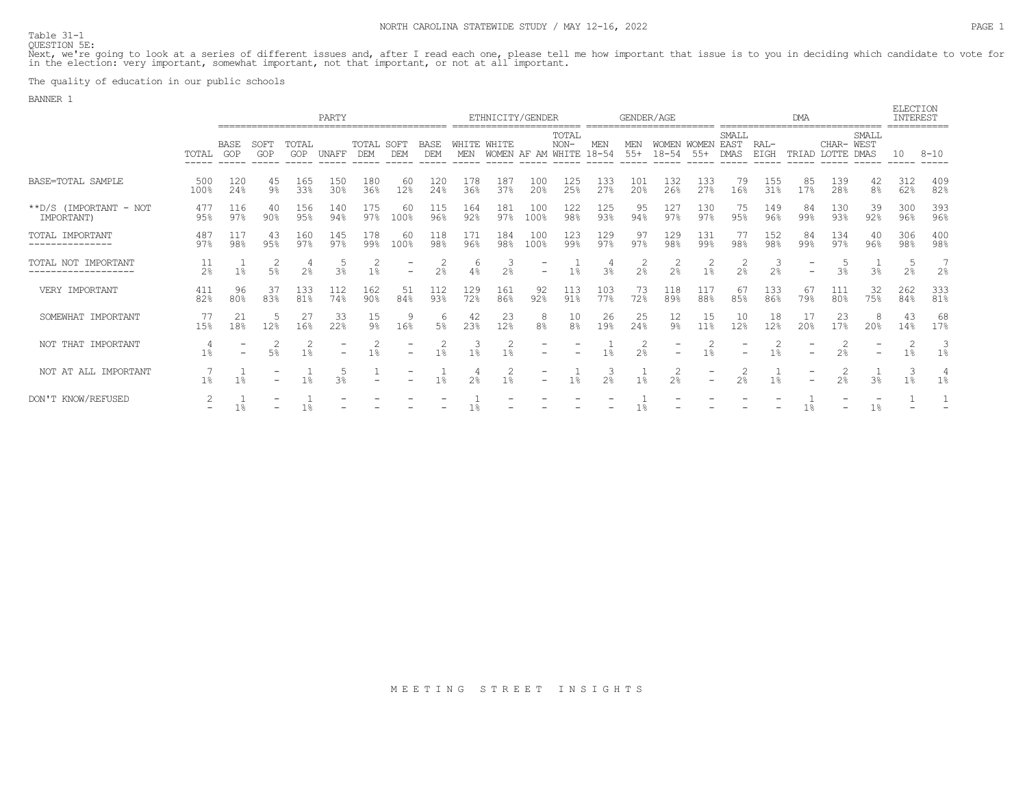Table 31-1 QUESTION 5E:

Next, we're going to look at a series of different issues and, after I read each one, please tell me how important that issue is to you in deciding which candidate to vote for<br>in the election: very important, somewhat impo

The quality of education in our public schools

BANNER 1

|                                      | PARTY                |                          |                     |                     |            |                          |                          |                    |                    | ETHNICITY/GENDER |                          |                          |                  | GENDER/AGE     |                                    |                          |                              | <b>ELECTION</b><br>INTEREST |           |                |                          |                |                     |
|--------------------------------------|----------------------|--------------------------|---------------------|---------------------|------------|--------------------------|--------------------------|--------------------|--------------------|------------------|--------------------------|--------------------------|------------------|----------------|------------------------------------|--------------------------|------------------------------|-----------------------------|-----------|----------------|--------------------------|----------------|---------------------|
|                                      | TOTAL                | BASE<br>GOP              | SOFT<br>GOP         | TOTAL<br><b>GOP</b> | UNAFF      | TOTAL SOFT<br><b>DEM</b> | <b>DEM</b>               | BASE<br><b>DEM</b> | WHITE WHITE<br>MEN | <b>WOMEN</b>     | AF AM                    | TOTAL<br>$NON-$<br>WHITE | MEN<br>$18 - 54$ | MEN<br>$55+$   | <b>WOMEN</b><br>$18 - 54$<br>----- | <b>WOMEN</b><br>$55+$    | SMALL<br>EAST<br><b>DMAS</b> | RAL-<br>EIGH                | TRTAD     | CHAR- WEST     | SMALL<br>DMAS            |                | $8 - 10$            |
| BASE=TOTAL SAMPLE                    | 500<br>100%          | 120<br>24%               | 45<br>$9\%$         | 165<br>33%          | 150<br>30% | 180<br>36%               | -60<br>12%               | 120<br>24%         | 178<br>36%         | 187<br>37%       | 100<br>20%               | 125<br>25%               | 133<br>27%       | 101<br>20%     | 132<br>26%                         | 133<br>27%               | 79<br>16%                    | 155<br>31%                  | 85<br>17% | 139<br>28%     | 42<br>8 <sup>°</sup>     | 312<br>62%     | 409<br>82%          |
| **D/S (IMPORTANT - NOT<br>IMPORTANT) | 477<br>95%           | 116<br>97%               | $90\%$              | 156<br>95%          | 140<br>94% | 175<br>97%               | -60<br>100%              | 115<br>96%         | 164<br>92%         | 181<br>97%       | 100<br>100%              | 122<br>98%               | 125<br>93%       | 95<br>94%      | 127<br>97%                         | 130<br>97%               | 75<br>95%                    | 149<br>96%                  | 84<br>99% | 130<br>93%     | -39<br>92%               | 300<br>96%     | 393<br>96%          |
| TOTAL IMPORTANT<br>---------------   | 487<br>97%           | 117<br>98%               | 43<br>95%           | 160<br>97%          | 145<br>97% | 178<br>99%               | -60<br>100%              | 118<br>98%         | 171<br>96%         | 184<br>98%       | 100<br>100%              | 123<br>99%               | 129<br>97%       | 97<br>97%      | 129<br>98 <sup>°</sup>             | 131<br>99%               | 77<br>98%                    | 152<br>98%                  | 84<br>99% | 134<br>97%     | -40<br>96%               | 306<br>98%     | 400<br>98%          |
| TOTAL NOT IMPORTANT                  | 11<br>2 <sup>°</sup> | 1 <sup>°</sup>           | 2<br>5 <sup>°</sup> | 2 <sup>°</sup>      | 3%         | 1%                       | $\overline{\phantom{0}}$ | $2\%$              | 6<br>4%            | 2.8              | $\overline{\phantom{0}}$ | $1\%$                    | 3 <sup>°</sup>   | 2.8            | 2 <sup>°</sup>                     | 1 <sub>8</sub>           | 2 <sup>°</sup>               | 2%                          |           | 3%             | 3 <sup>°</sup>           | 2 <sup>°</sup> | 7<br>2 <sup>°</sup> |
| VERY IMPORTANT                       | 411<br>82%           | 96<br>80%                | 37<br>83%           | 133<br>81%          | 112<br>74% | 162<br>90 <sub>8</sub>   | 51<br>84%                | 112<br>93%         | 129<br>72%         | 161<br>86%       | 92<br>92%                | 113<br>91%               | 103<br>77%       | 73<br>72%      | 118<br>89%                         | 117<br>88%               | 67<br>85%                    | 133<br>86%                  | 67<br>79% | 111<br>80%     | 32<br>75%                | 262<br>84%     | 333<br>81%          |
| SOMEWHAT IMPORTANT                   | 77<br>15%            | 21<br>18%                | 12%                 | 27<br>16%           | 33<br>22%  | 15<br>$9\%$              | 9<br>16%                 | $5\%$              | 42<br>23%          | 23<br>12%        | 8<br>8 <sup>°</sup>      | 10<br>8 <sup>°</sup>     | 26<br>19%        | -25<br>24%     | $\frac{12}{98}$                    | 15<br>11%                | 10<br>12%                    | 18<br>12%                   | 17<br>20% | 23<br>17%      | 8<br>20%                 | 43<br>14%      | 68<br>17%           |
| NOT THAT IMPORTANT                   | $1\%$                | $\overline{\phantom{0}}$ | 5 <sup>°</sup>      | 2<br>$1\%$          |            | 1 <sup>°</sup>           |                          | $1\%$              | 1 <sub>8</sub>     | 1%               |                          |                          | 1%               | 2 <sup>°</sup> |                                    | 1 <sub>8</sub>           | $\overline{\phantom{0}}$     | 1%                          |           | 2 <sup>°</sup> | $\overline{\phantom{m}}$ | $1\%$          | 3<br>1 <sup>°</sup> |
| NOT AT ALL IMPORTANT                 | $1\%$                |                          |                     | $1\%$               | २%         |                          |                          | 1%                 | 2.8                | 2<br>1%          |                          | $1\%$                    | 2.8              | 1%             | 2<br>2 <sup>°</sup>                | $\overline{\phantom{0}}$ | 2<br>2 <sup>°</sup>          | 1 <sup>°</sup>              |           | 2              | 3 <sup>°</sup>           | 3<br>$1\%$     | 4<br>1 <sup>°</sup> |
| DON'T KNOW/REFUSED                   |                      | $1\%$                    |                     | $1\%$               |            |                          |                          |                    |                    |                  |                          |                          |                  |                |                                    |                          |                              |                             |           |                | $1\%$                    |                |                     |

M E E T I N G S T R E E T I N S I G H T S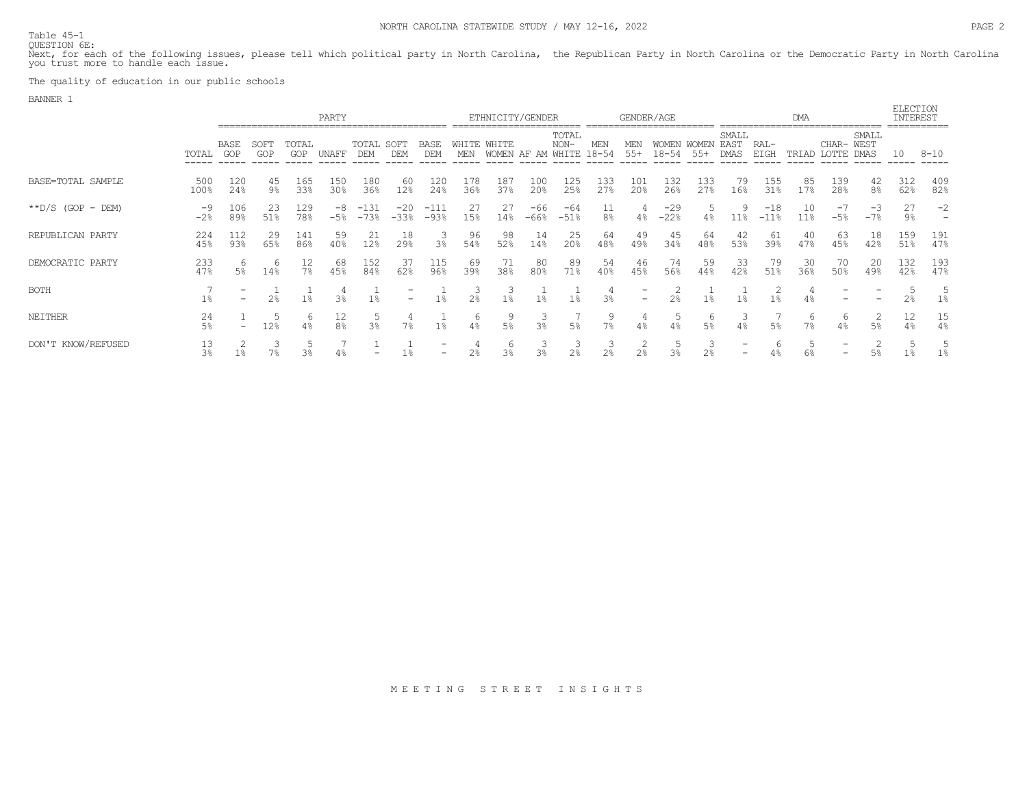Table 45-1 QUESTION 6E:

Next, for each of the following issues, please tell which political party in North Carolina, the Republican Party in North Carolina or the Democratic Party in North Carolina<br>you trust more to handle each issue.

The quality of education in our public schools

BANNER 1

|                       |                      |                          |                |              | PARTY        |                     |                    |                    |                     | ETHNICITY/GENDER |               |                                | GENDER/AGE           |                          |                           |                   |                              | DMA              |           |               |                     |                |            |  |
|-----------------------|----------------------|--------------------------|----------------|--------------|--------------|---------------------|--------------------|--------------------|---------------------|------------------|---------------|--------------------------------|----------------------|--------------------------|---------------------------|-------------------|------------------------------|------------------|-----------|---------------|---------------------|----------------|------------|--|
|                       | TOTAL                | BASE<br>GOP              | SOFT<br>GOP    | TOTAL<br>GOP | <b>UNAFF</b> | TOTAL<br><b>DEM</b> | SOFT<br><b>DEM</b> | BASE<br><b>DEM</b> | <b>WHITE</b><br>MEN | WHITE<br>WOMEN   | AF<br>AM      | TOTAL<br>$NON-$<br>WHITE 18-54 | MEN                  | MEN<br>$55+$             | <b>WOMEN</b><br>$18 - 54$ | WOMEN<br>$.55+$   | SMALL<br>EAST<br><b>DMAS</b> | RAL-<br>EIGH     | TRIAD     | CHAR- WEST    | SMALL<br>LOTTE DMAS | 10             | $8 - 10$   |  |
| BASE=TOTAL SAMPLE     | 500<br>100%          | 12C<br>24%               | 45<br>9%       | 165<br>33%   | 150<br>30%   | 180<br>36%          | 60<br>12%          | 120<br>24%         | 178<br>36%          | 187<br>37%       | 100<br>20%    | 125<br>25%                     | 133<br>27%           | 101<br>20%               | 132<br>26%                | $\frac{133}{278}$ | 79<br>16%                    | 155<br>31%       | 85<br>17% | 139<br>28%    | $\frac{42}{8}$      | $312$<br>$62%$ | 409<br>82% |  |
| $*$ $D/S$ (GOP - DEM) | -9<br>$-2%$          | 106<br>89%               | 23<br>51%      | 129<br>78%   | -8<br>$-5%$  | $-131$<br>$-73%$    | $-20$<br>$-33%$    | $-111$<br>$-93%$   | 27<br>15%           | 27<br>14%        | -66<br>$-66%$ | -64<br>$-51%$                  | 11<br>8 <sup>°</sup> | 4%                       | $-29$<br>$-22%$           | $4\%$             | 11%                          | $-18$<br>$-11$ % | 10<br>11% | $-1$<br>$-5%$ | -3<br>$-7%$         | 27<br>9%       | $-2$<br>-  |  |
| REPUBLICAN PARTY      | 224<br>45%           | 112<br>93%               | 29<br>65%      | 141<br>86%   | 59<br>40%    | 21<br>12%           | 18<br>29%          | 3 <sup>°</sup>     | 96<br>54%           | 98<br>52%        | 14<br>14%     | 25<br>20%                      | 64<br>48%            | -49<br>49%               | 45<br>34%                 | 64<br>48%         | 42<br>53%                    | 61<br>39%        | 40<br>47% | 63<br>45%     | 18<br>42%           | 159<br>51%     | 191<br>47% |  |
| DEMOCRATIC PARTY      | 233<br>47%           | 6<br>$5\%$               | 6<br>14%       | 12<br>$7\%$  | 68<br>45%    | 152<br>84%          | -37<br>62%         | 115<br>96%         | 69<br>39%           | 71<br>38%        | 80<br>80%     | 89<br>71%                      | 54<br>40%            | -46<br>45%               | 74<br>56%                 | 59<br>44%         | 33<br>42%                    | 79<br>51%        | 30<br>36% | 70<br>50%     | 20<br>49%           | 132<br>42%     | 193<br>47% |  |
| <b>BOTH</b>           | $1\%$                | $\overline{\phantom{m}}$ | 2 <sup>°</sup> | $1\%$        | 3%           | 1%                  |                    |                    | $2\%$               | 1%               | $1\%$         | $1\%$                          | 3 <sup>°</sup>       | $\overline{\phantom{a}}$ | $2\%$                     | $1\%$             | 1 <sup>°</sup>               | $1\%$            |           |               |                     | 2%             | 5<br>$1\%$ |  |
| NEITHER               | 24<br>$5\%$          | $\overline{\phantom{0}}$ | 12%            | b<br>4%      | 12<br>8%     | 3%                  | 7%                 | $1\%$              | 6<br>4%             | 5%               | 3%            | 5 <sup>°</sup>                 | $7\%$                | 4%                       | 4%                        | b<br>$5\%$        | 4%                           | $5\%$            | 7%        | 6             | 2<br>5%             | 12<br>$4\%$    | 15<br>4%   |  |
| DON'T KNOW/REFUSED    | 13<br>3 <sup>°</sup> |                          |                | 3%           |              |                     |                    |                    |                     | 6                | 3%            | 2%                             |                      | $2\%$                    | 3%                        |                   | $\overline{\phantom{0}}$     |                  |           |               |                     | 1%             | 5<br>$1\%$ |  |